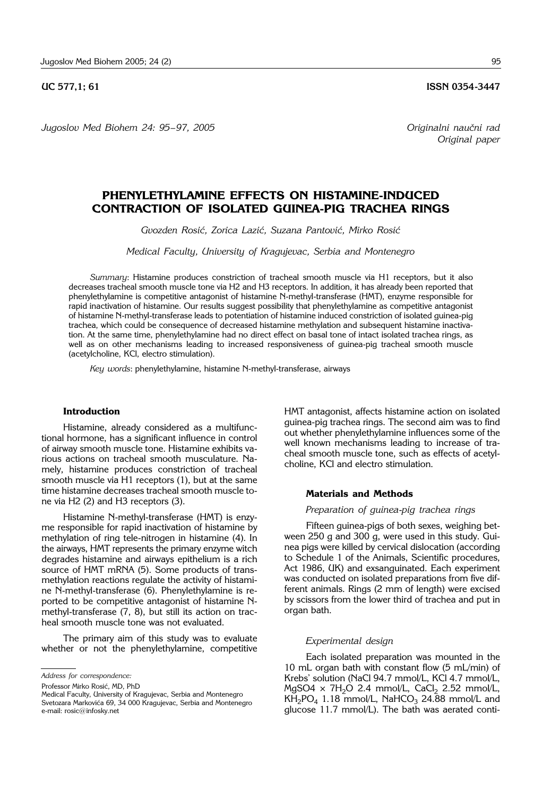## **UC 577.1: 61** ISSN 0354-3447

*Jugoslov Med Biohem 24: 95– 97, 2005 Originalni nau~ni rad*

# **PHENYLETHYLAMINE EFFECTS ON HISTAMINE-INDUCED CONTRACTION OF ISOLATED GUINEA-PIG TRACHEA RINGS**

Gvozden Rosić, Zorica Lazić, Suzana Pantović, Mirko Rosić

*Medical Faculty, University of Kragujevac, Serbia and Montenegro*

*Summary*: Histamine produces constriction of tracheal smooth muscle via H1 receptors, but it also decreases tracheal smooth muscle tone via H2 and H3 receptors. In addition, it has already been reported that phenylethylamine is competitive antagonist of histamine N-methyl-transferase (HMT), enzyme responsible for rapid inactivation of histamine. Our results suggest possibility that phenylethylamine as competitive antagonist of histamine N-methyl-transferase leads to potentiation of histamine induced constriction of isolated guinea-pig trachea, which could be consequence of decreased histamine methylation and subsequent histamine inactivation. At the same time, phenylethylamine had no direct effect on basal tone of intact isolated trachea rings, as well as on other mechanisms leading to increased responsiveness of guinea-pig tracheal smooth muscle (acetylcholine, KCl, electro stimulation).

*Key words*: phenylethylamine, histamine N-methyl-transferase, airways

# **Introduction**

Histamine, already considered as a multifunctional hormone, has a significant influence in control of airway smooth muscle tone. Histamine exhibits various actions on tracheal smooth musculature. Namely, histamine produces constriction of tracheal smooth muscle via H1 receptors (1), but at the same time histamine decreases tracheal smooth muscle tone via H2 (2) and H3 receptors (3).

Histamine N-methyl-transferase (HMT) is enzyme responsible for rapid inactivation of histamine by methylation of ring tele-nitrogen in histamine (4). In the airways, HMT represents the primary enzyme witch degrades histamine and airways epithelium is a rich source of HMT mRNA (5). Some products of transmethylation reactions regulate the activity of histamine N-methyl-transferase (6). Phenylethylamine is reported to be competitive antagonist of histamine Nmethyl-transferase (7, 8), but still its action on tracheal smooth muscle tone was not evaluated.

The primary aim of this study was to evaluate whether or not the phenylethylamine, competitive

HMT antagonist, affects histamine action on isolated guinea-pig trachea rings. The second aim was to find out whether phenylethylamine influences some of the well known mechanisms leading to increase of tracheal smooth muscle tone, such as effects of acetylcholine, KCl and electro stimulation.

## **Materials and Methods**

## *Preparation of guinea*-*pig trachea rings*

Fifteen guinea-pigs of both sexes, weighing between 250 g and 300 g, were used in this study. Guinea pigs were killed by cervical dislocation (according to Schedule 1 of the Animals, Scientific procedures, Act 1986, UK) and exsanguinated. Each experiment was conducted on isolated preparations from five different animals. Rings (2 mm of length) were excised by scissors from the lower third of trachea and put in organ bath.

## *Experimental design*

Each isolated preparation was mounted in the 10 mL organ bath with constant flow (5 mL/min) of Krebs' solution (NaCl 94.7 mmol/L, KCl 4.7 mmol/L, MgSO4  $\times$  7H<sub>2</sub>O 2.4 mmol/L, CaCl<sub>2</sub> 2.52 mmol/L,  $KH_2PO_4$  1.18 mmol/L, NaHCO<sub>3</sub> 24.88 mmol/L and glucose 11.7 mmol/L). The bath was aerated conti-

*Address for correspondence:*

Professor Mirko Rosić, MD, PhD

Medical Faculty, University of Kragujevac, Serbia and Montenegro Svetozara Markovića 69, 34 000 Kragujevac, Serbia and Montenegro e-mail: rosic@infosky.net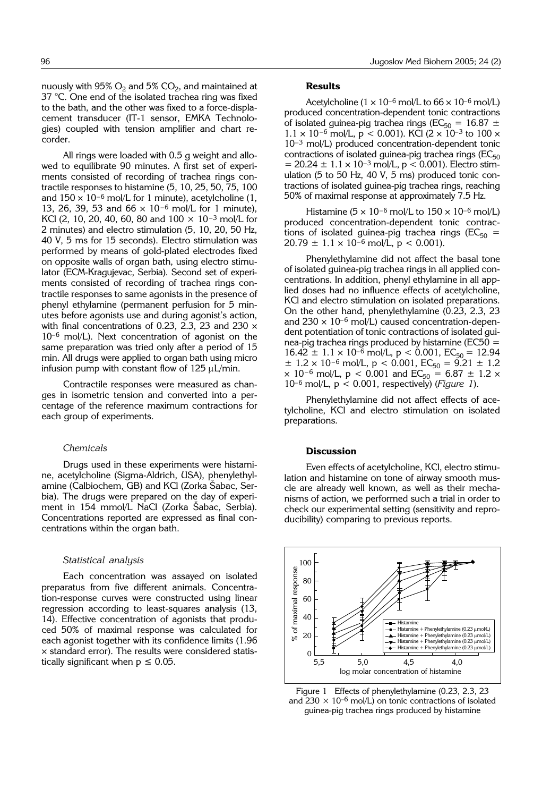nuously with  $95\%$  O<sub>2</sub> and  $5\%$  CO<sub>2</sub>, and maintained at 37 °C. One end of the isolated trachea ring was fixed to the bath, and the other was fixed to a force-displacement transducer (IT-1 sensor, EMKA Technologies) coupled with tension amplifier and chart recorder.

All rings were loaded with 0.5 g weight and allowed to equilibrate 90 minutes. A first set of experiments consisted of recording of trachea rings contractile responses to histamine (5, 10, 25, 50, 75, 100 and  $150 \times 10^{-6}$  mol/L for 1 minute), acetylcholine (1, 13, 26, 39, 53 and 66 × 10–<sup>6</sup> mol/L for 1 minute), KCl (2, 10, 20, 40, 60, 80 and  $100 \times 10^{-3}$  mol/L for 2 minutes) and electro stimulation (5, 10, 20, 50 Hz, 40 V, 5 ms for 15 seconds). Electro stimulation was performed by means of gold-plated electrodes fixed on opposite walls of organ bath, using electro stimulator (ECM-Kragujevac, Serbia). Second set of experiments consisted of recording of trachea rings contractile responses to same agonists in the presence of phenyl ethylamine (permanent perfusion for 5 minutes before agonists use and during agonist's action, with final concentrations of 0.23, 2.3, 23 and 230  $\times$ 10–<sup>6</sup> mol/L). Next concentration of agonist on the same preparation was tried only after a period of 15 min. All drugs were applied to organ bath using micro infusion pump with constant flow of  $125 \mu L/min$ .

Contractile responses were measured as changes in isometric tension and converted into a percentage of the reference maximum contractions for each group of experiments.

#### *Chemicals*

Drugs used in these experiments were histamine, acetylcholine (Sigma-Aldrich, USA), phenylethylamine (Calbiochem, GB) and KCI (Zorka Šabac, Serbia). The drugs were prepared on the day of experiment in 154 mmol/L NaCl (Zorka Šabac, Serbia). Concentrations reported are expressed as final concentrations within the organ bath.

### *Statistical analysis*

Each concentration was assayed on isolated preparatus from five different animals. Concentration-response curves were constructed using linear regression according to least-squares analysis (13, 14). Effective concentration of agonists that produced 50% of maximal response was calculated for each agonist together with its confidence limits (1.96 × standard error). The results were considered statistically significant when  $p \leq 0.05$ .

## **Results**

Acetylcholine ( $1 \times 10^{-6}$  mol/L to  $66 \times 10^{-6}$  mol/L) produced concentration-dependent tonic contractions of isolated guinea-pig trachea rings (EC<sub>50</sub> = 16.87  $\pm$  $1.1 \times 10^{-6}$  mol/L, p < 0.001). KCl (2 × 10<sup>-3</sup> to 100 × 10–<sup>3</sup> mol/L) produced concentration-dependent tonic contractions of isolated guinea-pig trachea rings ( $EC_{50}$  $= 20.24 \pm 1.1 \times 10^{-3}$  mol/L, p < 0.001). Electro stimulation (5 to 50 Hz, 40 V, 5 ms) produced tonic contractions of isolated guinea-pig trachea rings, reaching 50% of maximal response at approximately 7.5 Hz.

Histamine ( $5 \times 10^{-6}$  mol/L to  $150 \times 10^{-6}$  mol/L) produced concentration-dependent tonic contractions of isolated guinea-pig trachea rings ( $EC_{50}$  =  $20.79 \pm 1.1 \times 10^{-6}$  mol/L, p < 0.001).

Phenylethylamine did not affect the basal tone of isolated guinea-pig trachea rings in all applied concentrations. In addition, phenyl ethylamine in all applied doses had no influence effects of acetylcholine, KCl and electro stimulation on isolated preparations. On the other hand, phenylethylamine (0.23, 2.3, 23 and  $230 \times 10^{-6}$  mol/L) caused concentration-dependent potentiation of tonic contractions of isolated guinea-pig trachea rings produced by histamine (EC50 =  $16.42 \pm 1.1 \times 10^{-6}$  mol/L,  $p < 0.001$ ,  $EC_{50} = 12.94$  $\pm$  1.2 × 10<sup>-6</sup> mol/L, p < 0.001, EC<sub>50</sub> = 9.21  $\pm$  1.2  $\times$  10<sup>-6</sup> mol/L, p < 0.001 and EC<sub>50</sub> = 6.87  $\pm$  1.2  $\times$ 10–<sup>6</sup> mol/L, p < 0.001, respectively) (*Figure 1*).

Phenylethylamine did not affect effects of acetylcholine, KCl and electro stimulation on isolated preparations.

#### **Discussion**

Even effects of acetylcholine, KCl, electro stimulation and histamine on tone of airway smooth muscle are already well known, as well as their mechanisms of action, we performed such a trial in order to check our experimental setting (sensitivity and reproducibility) comparing to previous reports.



Figure 1 Effects of phenylethylamine (0.23, 2.3, 23 and 230  $\times$  10<sup>-6</sup> mol/L) on tonic contractions of isolated guinea-pig trachea rings produced by histamine